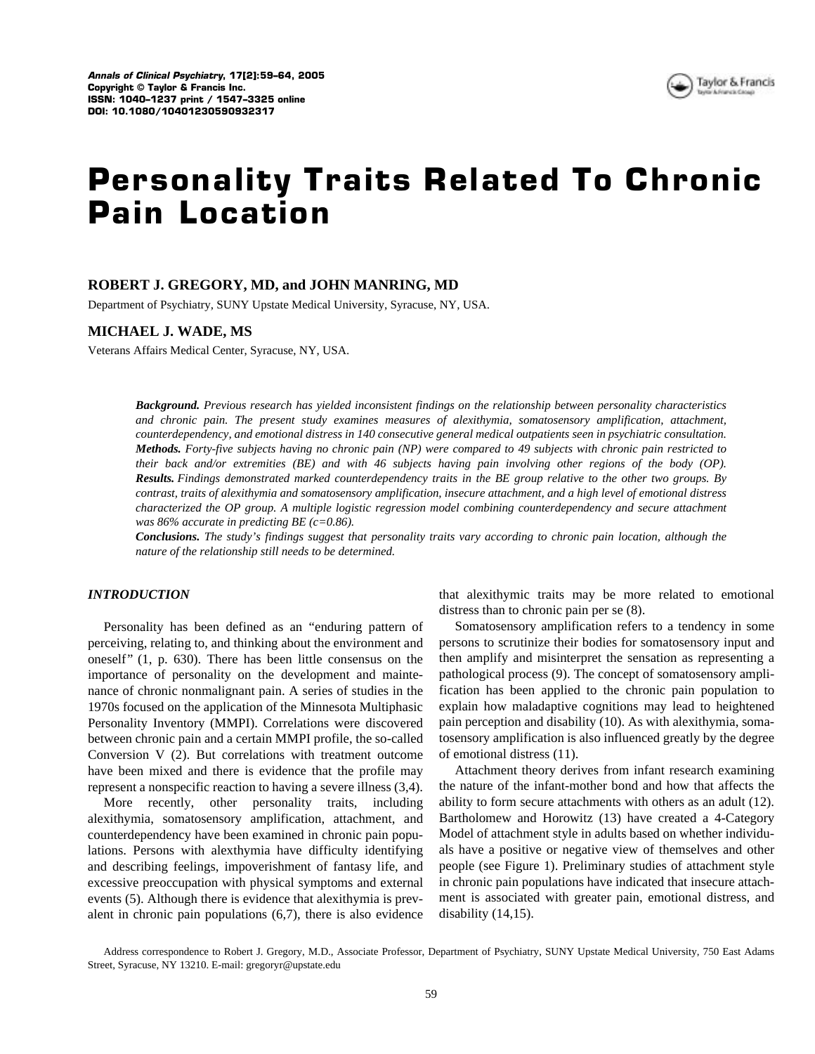

# **Personality Traits Related To Chronic Pain Location**

# **ROBERT J. GREGORY, MD, and JOHN MANRING, MD**

Department of Psychiatry, SUNY Upstate Medical University, Syracuse, NY, USA.

#### **MICHAEL J. WADE, MS**

Veterans Affairs Medical Center, Syracuse, NY, USA.

*Background. Previous research has yielded inconsistent findings on the relationship between personality characteristics and chronic pain. The present study examines measures of alexithymia, somatosensory amplification, attachment, counterdependency, and emotional distress in 140 consecutive general medical outpatients seen in psychiatric consultation. Methods. Forty-five subjects having no chronic pain (NP) were compared to 49 subjects with chronic pain restricted to their back and/or extremities (BE) and with 46 subjects having pain involving other regions of the body (OP). Results. Findings demonstrated marked counterdependency traits in the BE group relative to the other two groups. By contrast, traits of alexithymia and somatosensory amplification, insecure attachment, and a high level of emotional distress characterized the OP group. A multiple logistic regression model combining counterdependency and secure attachment was 86% accurate in predicting BE (c=0.86).* 

*Conclusions. The study's findings suggest that personality traits vary according to chronic pain location, although the nature of the relationship still needs to be determined.*

## *INTRODUCTION*

Personality has been defined as an "enduring pattern of perceiving, relating to, and thinking about the environment and oneself" (1, p. 630). There has been little consensus on the importance of personality on the development and maintenance of chronic nonmalignant pain. A series of studies in the 1970s focused on the application of the Minnesota Multiphasic Personality Inventory (MMPI). Correlations were discovered between chronic pain and a certain MMPI profile, the so-called Conversion V (2). But correlations with treatment outcome have been mixed and there is evidence that the profile may represent a nonspecific reaction to having a severe illness (3,4).

More recently, other personality traits, including alexithymia, somatosensory amplification, attachment, and counterdependency have been examined in chronic pain populations. Persons with alexthymia have difficulty identifying and describing feelings, impoverishment of fantasy life, and excessive preoccupation with physical symptoms and external events (5). Although there is evidence that alexithymia is prevalent in chronic pain populations (6,7), there is also evidence that alexithymic traits may be more related to emotional distress than to chronic pain per se (8).

Somatosensory amplification refers to a tendency in some persons to scrutinize their bodies for somatosensory input and then amplify and misinterpret the sensation as representing a pathological process (9). The concept of somatosensory amplification has been applied to the chronic pain population to explain how maladaptive cognitions may lead to heightened pain perception and disability (10). As with alexithymia, somatosensory amplification is also influenced greatly by the degree of emotional distress (11).

Attachment theory derives from infant research examining the nature of the infant-mother bond and how that affects the ability to form secure attachments with others as an adult (12). Bartholomew and Horowitz (13) have created a 4-Category Model of attachment style in adults based on whether individuals have a positive or negative view of themselves and other people (see Figure 1). Preliminary studies of attachment style in chronic pain populations have indicated that insecure attachment is associated with greater pain, emotional distress, and disability (14,15).

Address correspondence to Robert J. Gregory, M.D., Associate Professor, Department of Psychiatry, SUNY Upstate Medical University, 750 East Adams Street, Syracuse, NY 13210. E-mail: gregoryr@upstate.edu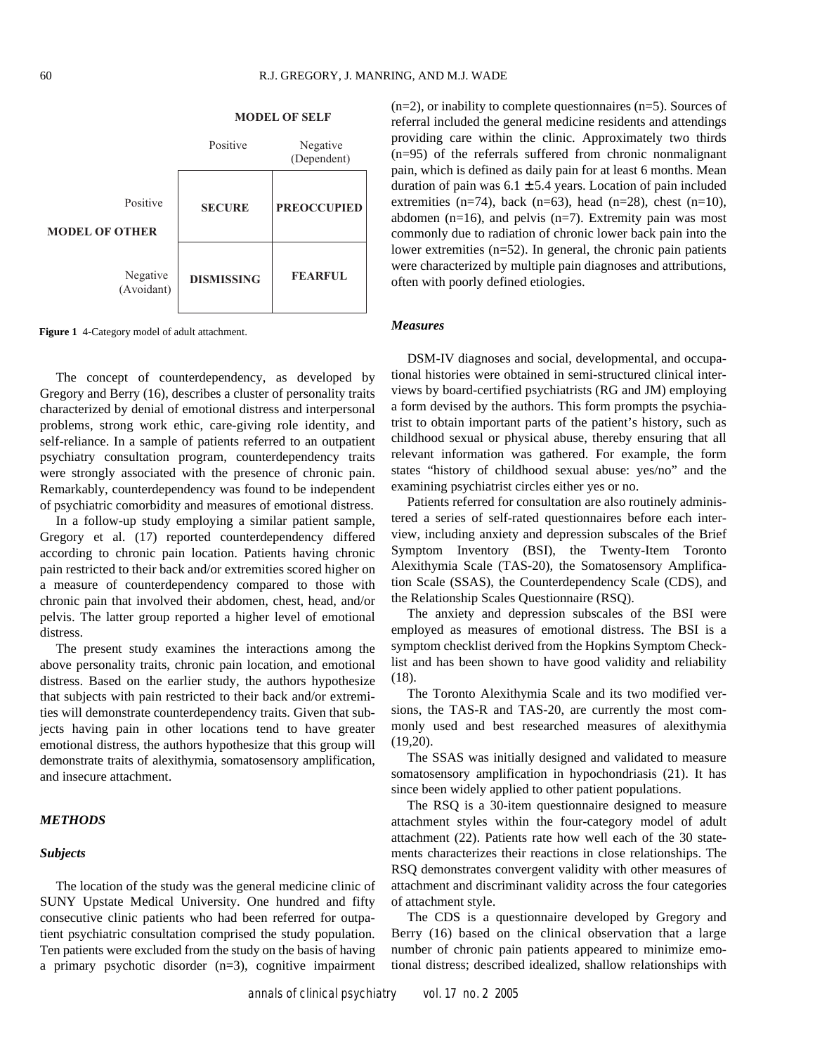

 **MODEL OF SELF**

**Figure 1** 4-Category model of adult attachment.

The concept of counterdependency, as developed by Gregory and Berry (16), describes a cluster of personality traits characterized by denial of emotional distress and interpersonal problems, strong work ethic, care-giving role identity, and self-reliance. In a sample of patients referred to an outpatient psychiatry consultation program, counterdependency traits were strongly associated with the presence of chronic pain. Remarkably, counterdependency was found to be independent of psychiatric comorbidity and measures of emotional distress.

In a follow-up study employing a similar patient sample, Gregory et al. (17) reported counterdependency differed according to chronic pain location. Patients having chronic pain restricted to their back and/or extremities scored higher on a measure of counterdependency compared to those with chronic pain that involved their abdomen, chest, head, and/or pelvis. The latter group reported a higher level of emotional distress.

The present study examines the interactions among the above personality traits, chronic pain location, and emotional distress. Based on the earlier study, the authors hypothesize that subjects with pain restricted to their back and/or extremities will demonstrate counterdependency traits. Given that subjects having pain in other locations tend to have greater emotional distress, the authors hypothesize that this group will demonstrate traits of alexithymia, somatosensory amplification, and insecure attachment.

# *METHODS*

#### *Subjects*

The location of the study was the general medicine clinic of SUNY Upstate Medical University. One hundred and fifty consecutive clinic patients who had been referred for outpatient psychiatric consultation comprised the study population. Ten patients were excluded from the study on the basis of having a primary psychotic disorder (n=3), cognitive impairment

 $(n=2)$ , or inability to complete questionnaires  $(n=5)$ . Sources of referral included the general medicine residents and attendings providing care within the clinic. Approximately two thirds (n=95) of the referrals suffered from chronic nonmalignant pain, which is defined as daily pain for at least 6 months. Mean duration of pain was  $6.1 \pm 5.4$  years. Location of pain included extremities  $(n=74)$ , back  $(n=63)$ , head  $(n=28)$ , chest  $(n=10)$ , abdomen ( $n=16$ ), and pelvis ( $n=7$ ). Extremity pain was most commonly due to radiation of chronic lower back pain into the lower extremities (n=52). In general, the chronic pain patients were characterized by multiple pain diagnoses and attributions, often with poorly defined etiologies.

#### *Measures*

DSM-IV diagnoses and social, developmental, and occupational histories were obtained in semi-structured clinical interviews by board-certified psychiatrists (RG and JM) employing a form devised by the authors. This form prompts the psychiatrist to obtain important parts of the patient's history, such as childhood sexual or physical abuse, thereby ensuring that all relevant information was gathered. For example, the form states "history of childhood sexual abuse: yes/no" and the examining psychiatrist circles either yes or no.

Patients referred for consultation are also routinely administered a series of self-rated questionnaires before each interview, including anxiety and depression subscales of the Brief Symptom Inventory (BSI), the Twenty-Item Toronto Alexithymia Scale (TAS-20), the Somatosensory Amplification Scale (SSAS), the Counterdependency Scale (CDS), and the Relationship Scales Questionnaire (RSQ).

The anxiety and depression subscales of the BSI were employed as measures of emotional distress. The BSI is a symptom checklist derived from the Hopkins Symptom Checklist and has been shown to have good validity and reliability (18).

The Toronto Alexithymia Scale and its two modified versions, the TAS-R and TAS-20, are currently the most commonly used and best researched measures of alexithymia (19,20).

The SSAS was initially designed and validated to measure somatosensory amplification in hypochondriasis (21). It has since been widely applied to other patient populations.

The RSQ is a 30-item questionnaire designed to measure attachment styles within the four-category model of adult attachment (22). Patients rate how well each of the 30 statements characterizes their reactions in close relationships. The RSQ demonstrates convergent validity with other measures of attachment and discriminant validity across the four categories of attachment style.

The CDS is a questionnaire developed by Gregory and Berry (16) based on the clinical observation that a large number of chronic pain patients appeared to minimize emotional distress; described idealized, shallow relationships with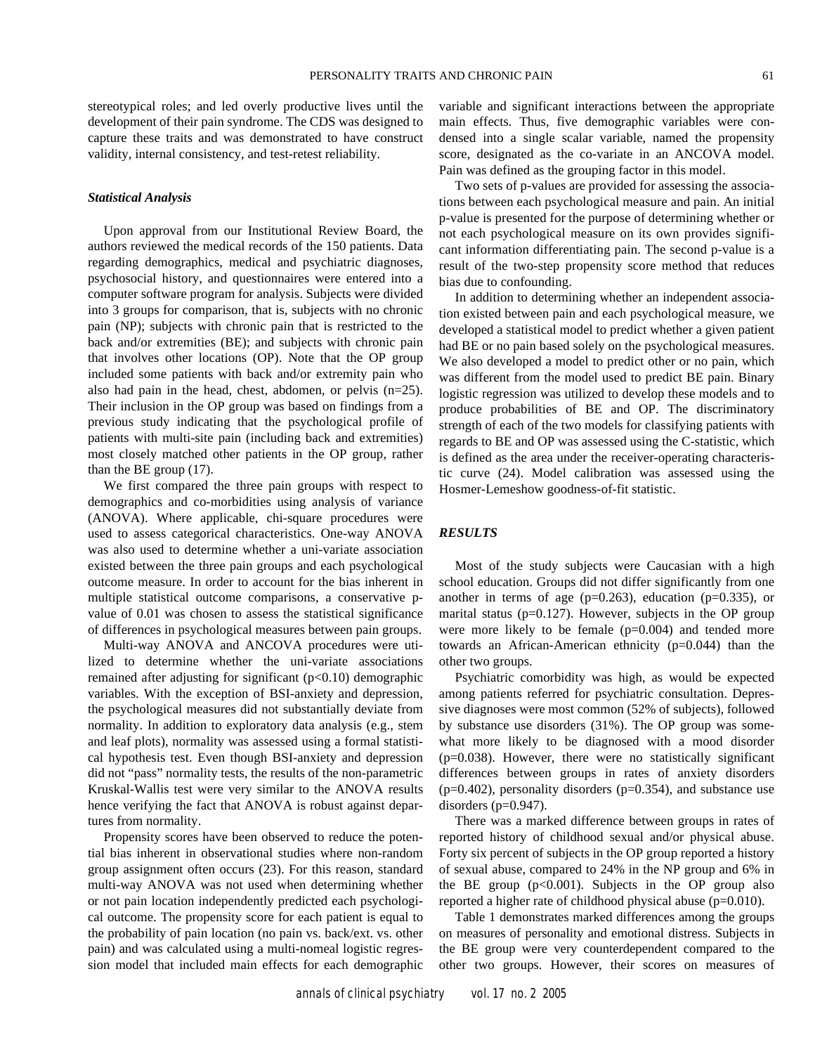stereotypical roles; and led overly productive lives until the development of their pain syndrome. The CDS was designed to capture these traits and was demonstrated to have construct validity, internal consistency, and test-retest reliability.

#### *Statistical Analysis*

Upon approval from our Institutional Review Board, the authors reviewed the medical records of the 150 patients. Data regarding demographics, medical and psychiatric diagnoses, psychosocial history, and questionnaires were entered into a computer software program for analysis. Subjects were divided into 3 groups for comparison, that is, subjects with no chronic pain (NP); subjects with chronic pain that is restricted to the back and/or extremities (BE); and subjects with chronic pain that involves other locations (OP). Note that the OP group included some patients with back and/or extremity pain who also had pain in the head, chest, abdomen, or pelvis (n=25). Their inclusion in the OP group was based on findings from a previous study indicating that the psychological profile of patients with multi-site pain (including back and extremities) most closely matched other patients in the OP group, rather than the BE group (17).

We first compared the three pain groups with respect to demographics and co-morbidities using analysis of variance (ANOVA). Where applicable, chi-square procedures were used to assess categorical characteristics. One-way ANOVA was also used to determine whether a uni-variate association existed between the three pain groups and each psychological outcome measure. In order to account for the bias inherent in multiple statistical outcome comparisons, a conservative pvalue of 0.01 was chosen to assess the statistical significance of differences in psychological measures between pain groups.

Multi-way ANOVA and ANCOVA procedures were utilized to determine whether the uni-variate associations remained after adjusting for significant  $(p<0.10)$  demographic variables. With the exception of BSI-anxiety and depression, the psychological measures did not substantially deviate from normality. In addition to exploratory data analysis (e.g., stem and leaf plots), normality was assessed using a formal statistical hypothesis test. Even though BSI-anxiety and depression did not "pass" normality tests, the results of the non-parametric Kruskal-Wallis test were very similar to the ANOVA results hence verifying the fact that ANOVA is robust against departures from normality.

Propensity scores have been observed to reduce the potential bias inherent in observational studies where non-random group assignment often occurs (23). For this reason, standard multi-way ANOVA was not used when determining whether or not pain location independently predicted each psychological outcome. The propensity score for each patient is equal to the probability of pain location (no pain vs. back/ext. vs. other pain) and was calculated using a multi-nomeal logistic regression model that included main effects for each demographic

variable and significant interactions between the appropriate main effects. Thus, five demographic variables were condensed into a single scalar variable, named the propensity score, designated as the co-variate in an ANCOVA model. Pain was defined as the grouping factor in this model.

Two sets of p-values are provided for assessing the associations between each psychological measure and pain. An initial p-value is presented for the purpose of determining whether or not each psychological measure on its own provides significant information differentiating pain. The second p-value is a result of the two-step propensity score method that reduces bias due to confounding.

In addition to determining whether an independent association existed between pain and each psychological measure, we developed a statistical model to predict whether a given patient had BE or no pain based solely on the psychological measures. We also developed a model to predict other or no pain, which was different from the model used to predict BE pain. Binary logistic regression was utilized to develop these models and to produce probabilities of BE and OP. The discriminatory strength of each of the two models for classifying patients with regards to BE and OP was assessed using the C-statistic, which is defined as the area under the receiver-operating characteristic curve (24). Model calibration was assessed using the Hosmer-Lemeshow goodness-of-fit statistic.

### *RESULTS*

Most of the study subjects were Caucasian with a high school education. Groups did not differ significantly from one another in terms of age  $(p=0.263)$ , education  $(p=0.335)$ , or marital status ( $p=0.127$ ). However, subjects in the OP group were more likely to be female (p=0.004) and tended more towards an African-American ethnicity (p=0.044) than the other two groups.

Psychiatric comorbidity was high, as would be expected among patients referred for psychiatric consultation. Depressive diagnoses were most common (52% of subjects), followed by substance use disorders (31%). The OP group was somewhat more likely to be diagnosed with a mood disorder  $(p=0.038)$ . However, there were no statistically significant differences between groups in rates of anxiety disorders  $(p=0.402)$ , personality disorders  $(p=0.354)$ , and substance use disorders (p=0.947).

There was a marked difference between groups in rates of reported history of childhood sexual and/or physical abuse. Forty six percent of subjects in the OP group reported a history of sexual abuse, compared to 24% in the NP group and 6% in the BE group  $(p<0.001)$ . Subjects in the OP group also reported a higher rate of childhood physical abuse (p=0.010).

Table 1 demonstrates marked differences among the groups on measures of personality and emotional distress. Subjects in the BE group were very counterdependent compared to the other two groups. However, their scores on measures of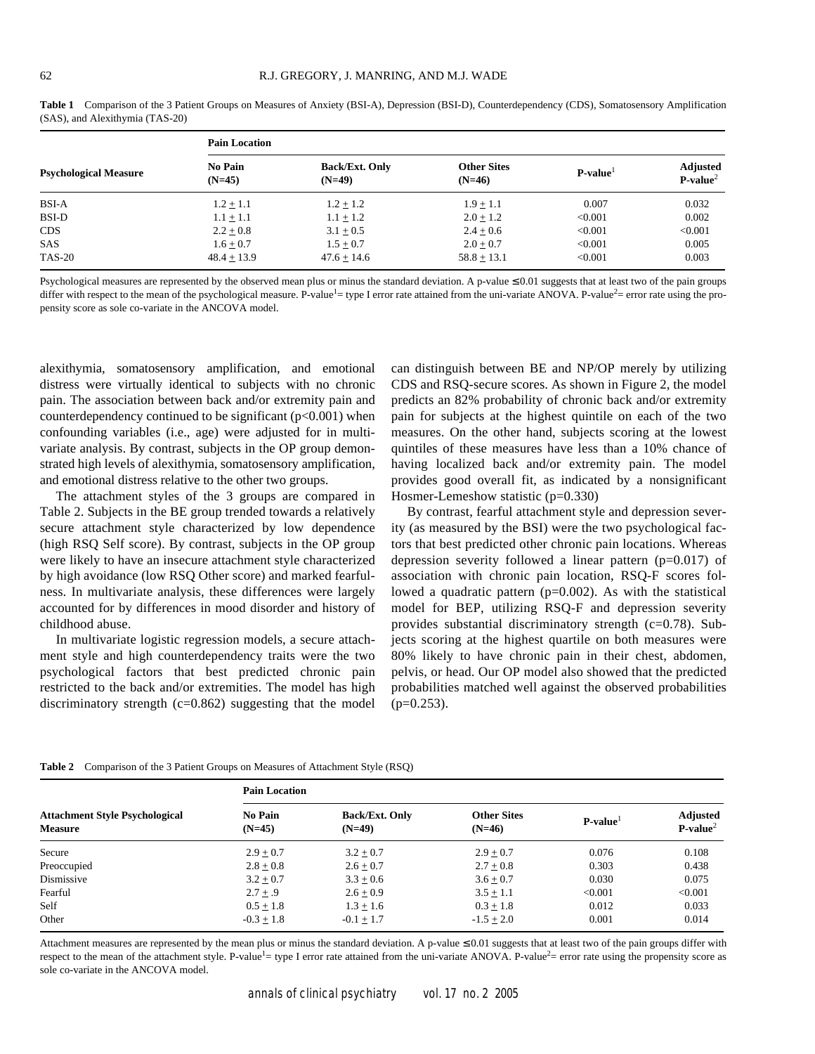| <b>Psychological Measure</b> | <b>Pain Location</b>       |                                   |                                |            |                               |  |  |
|------------------------------|----------------------------|-----------------------------------|--------------------------------|------------|-------------------------------|--|--|
|                              | <b>No Pain</b><br>$(N=45)$ | <b>Back/Ext. Only</b><br>$(N=49)$ | <b>Other Sites</b><br>$(N=46)$ | $P-value1$ | <b>Adjusted</b><br>$P-value2$ |  |  |
| BSI-A                        | $1.2 \pm 1.1$              | $1.2 \pm 1.2$                     | $1.9 \pm 1.1$                  | 0.007      | 0.032                         |  |  |
| BSI-D                        | $1.1 \pm 1.1$              | $1.1 \pm 1.2$                     | $2.0 \pm 1.2$                  | < 0.001    | 0.002                         |  |  |
| <b>CDS</b>                   | $2.2 + 0.8$                | $3.1 + 0.5$                       | $2.4 + 0.6$                    | < 0.001    | < 0.001                       |  |  |
| SAS                          | $1.6 + 0.7$                | $1.5 + 0.7$                       | $2.0 + 0.7$                    | < 0.001    | 0.005                         |  |  |
| <b>TAS-20</b>                | $48.4 + 13.9$              | $47.6 + 14.6$                     | $58.8 + 13.1$                  | < 0.001    | 0.003                         |  |  |

**Table 1** Comparison of the 3 Patient Groups on Measures of Anxiety (BSI-A), Depression (BSI-D), Counterdependency (CDS), Somatosensory Amplification (SAS), and Alexithymia (TAS-20)

Psychological measures are represented by the observed mean plus or minus the standard deviation. A p-value  $\leq 0.01$  suggests that at least two of the pain groups differ with respect to the mean of the psychological measure. P-value<sup>1</sup> = type I error rate attained from the uni-variate ANOVA. P-value<sup>2</sup> = error rate using the propensity score as sole co-variate in the ANCOVA model.

alexithymia, somatosensory amplification, and emotional distress were virtually identical to subjects with no chronic pain. The association between back and/or extremity pain and counterdependency continued to be significant  $(p<0.001)$  when confounding variables (i.e., age) were adjusted for in multivariate analysis. By contrast, subjects in the OP group demonstrated high levels of alexithymia, somatosensory amplification, and emotional distress relative to the other two groups.

The attachment styles of the 3 groups are compared in Table 2. Subjects in the BE group trended towards a relatively secure attachment style characterized by low dependence (high RSQ Self score). By contrast, subjects in the OP group were likely to have an insecure attachment style characterized by high avoidance (low RSQ Other score) and marked fearfulness. In multivariate analysis, these differences were largely accounted for by differences in mood disorder and history of childhood abuse.

In multivariate logistic regression models, a secure attachment style and high counterdependency traits were the two psychological factors that best predicted chronic pain restricted to the back and/or extremities. The model has high discriminatory strength  $(c=0.862)$  suggesting that the model

can distinguish between BE and NP/OP merely by utilizing CDS and RSQ-secure scores. As shown in Figure 2, the model predicts an 82% probability of chronic back and/or extremity pain for subjects at the highest quintile on each of the two measures. On the other hand, subjects scoring at the lowest quintiles of these measures have less than a 10% chance of having localized back and/or extremity pain. The model provides good overall fit, as indicated by a nonsignificant Hosmer-Lemeshow statistic (p=0.330)

By contrast, fearful attachment style and depression severity (as measured by the BSI) were the two psychological factors that best predicted other chronic pain locations. Whereas depression severity followed a linear pattern (p=0.017) of association with chronic pain location, RSQ-F scores followed a quadratic pattern  $(p=0.002)$ . As with the statistical model for BEP, utilizing RSQ-F and depression severity provides substantial discriminatory strength (c=0.78). Subjects scoring at the highest quartile on both measures were 80% likely to have chronic pain in their chest, abdomen, pelvis, or head. Our OP model also showed that the predicted probabilities matched well against the observed probabilities  $(p=0.253)$ .

|  |  |  | <b>Table 2</b> Comparison of the 3 Patient Groups on Measures of Attachment Style (RSQ) |  |  |  |
|--|--|--|-----------------------------------------------------------------------------------------|--|--|--|
|--|--|--|-----------------------------------------------------------------------------------------|--|--|--|

|                                                         | <b>Pain Location</b>       |                                   |                                |            |                               |  |  |
|---------------------------------------------------------|----------------------------|-----------------------------------|--------------------------------|------------|-------------------------------|--|--|
| <b>Attachment Style Psychological</b><br><b>Measure</b> | <b>No Pain</b><br>$(N=45)$ | <b>Back/Ext. Only</b><br>$(N=49)$ | <b>Other Sites</b><br>$(N=46)$ | $P-value1$ | <b>Adjusted</b><br>$P-value2$ |  |  |
| Secure                                                  | $2.9 + 0.7$                | $3.2 + 0.7$                       | $2.9 + 0.7$                    | 0.076      | 0.108                         |  |  |
| Preoccupied                                             | $2.8 + 0.8$                | $2.6 + 0.7$                       | $2.7 + 0.8$                    | 0.303      | 0.438                         |  |  |
| Dismissive                                              | $3.2 \pm 0.7$              | $3.3 \pm 0.6$                     | $3.6 \pm 0.7$                  | 0.030      | 0.075                         |  |  |
| Fearful                                                 | $2.7 + .9$                 | $2.6 \pm 0.9$                     | $3.5 \pm 1.1$                  | < 0.001    | < 0.001                       |  |  |
| Self                                                    | $0.5 \pm 1.8$              | $1.3 \pm 1.6$                     | $0.3 \pm 1.8$                  | 0.012      | 0.033                         |  |  |
| Other                                                   | $-0.3 \pm 1.8$             | $-0.1 + 1.7$                      | $-1.5 + 2.0$                   | 0.001      | 0.014                         |  |  |

Attachment measures are represented by the mean plus or minus the standard deviation. A p-value ≤ 0.01 suggests that at least two of the pain groups differ with respect to the mean of the attachment style. P-value<sup>1</sup>= type I error rate attained from the uni-variate ANOVA. P-value<sup>2</sup>= error rate using the propensity score as sole co-variate in the ANCOVA model.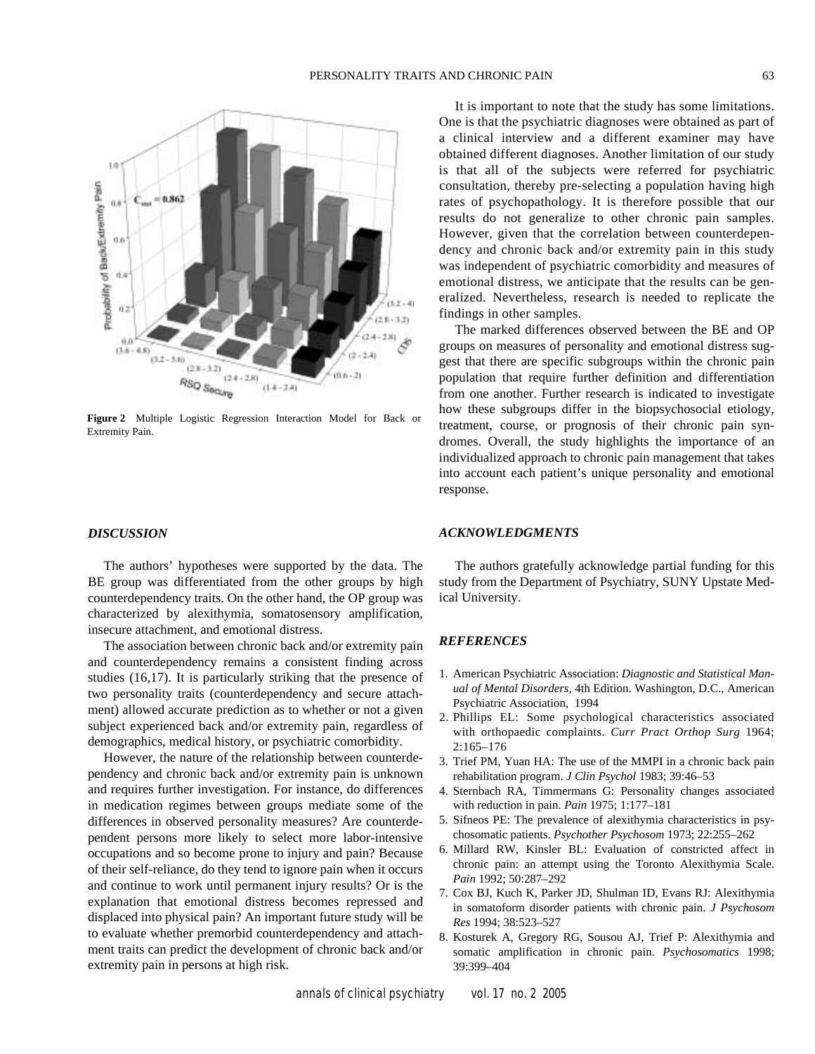

**Figure 2** Multiple Logistic Regression Interaction Model for Back or Extremity Pain.

#### *DISCUSSION*

The authors' hypotheses were supported by the data. The BE group was differentiated from the other groups by high counterdependency traits. On the other hand, the OP group was characterized by alexithymia, somatosensory amplification, insecure attachment, and emotional distress.

The association between chronic back and/or extremity pain and counterdependency remains a consistent finding across studies (16,17). It is particularly striking that the presence of two personality traits (counterdependency and secure attachment) allowed accurate prediction as to whether or not a given subject experienced back and/or extremity pain, regardless of demographics, medical history, or psychiatric comorbidity.

However, the nature of the relationship between counterdependency and chronic back and/or extremity pain is unknown and requires further investigation. For instance, do differences in medication regimes between groups mediate some of the differences in observed personality measures? Are counterdependent persons more likely to select more labor-intensive occupations and so become prone to injury and pain? Because of their self-reliance, do they tend to ignore pain when it occurs and continue to work until permanent injury results? Or is the explanation that emotional distress becomes repressed and displaced into physical pain? An important future study will be to evaluate whether premorbid counterdependency and attachment traits can predict the development of chronic back and/or extremity pain in persons at high risk.

It is important to note that the study has some limitations. One is that the psychiatric diagnoses were obtained as part of a clinical interview and a different examiner may have obtained different diagnoses. Another limitation of our study is that all of the subjects were referred for psychiatric consultation, thereby pre-selecting a population having high rates of psychopathology. It is therefore possible that our results do not generalize to other chronic pain samples. However, given that the correlation between counterdependency and chronic back and/or extremity pain in this study was independent of psychiatric comorbidity and measures of emotional distress, we anticipate that the results can be generalized. Nevertheless, research is needed to replicate the findings in other samples.

The marked differences observed between the BE and OP groups on measures of personality and emotional distress suggest that there are specific subgroups within the chronic pain population that require further definition and differentiation from one another. Further research is indicated to investigate how these subgroups differ in the biopsychosocial etiology, treatment, course, or prognosis of their chronic pain syndromes. Overall, the study highlights the importance of an individualized approach to chronic pain management that takes into account each patient's unique personality and emotional response.

#### *ACKNOWLEDGMENTS*

The authors gratefully acknowledge partial funding for this study from the Department of Psychiatry, SUNY Upstate Medical University.

## *REFERENCES*

- 1. American Psychiatric Association: *Diagnostic and Statistical Manual of Mental Disorders,* 4th Edition. Washington, D.C., American Psychiatric Association, 1994
- 2. Phillips EL: Some psychological characteristics associated with orthopaedic complaints. *Curr Pract Orthop Surg* 1964; 2:165–176
- 3. Trief PM, Yuan HA: The use of the MMPI in a chronic back pain rehabilitation program. *J Clin Psychol* 1983; 39:46–53
- 4. Sternbach RA, Timmermans G: Personality changes associated with reduction in pain. *Pain* 1975; 1:177–181
- 5. Sifneos PE: The prevalence of alexithymia characteristics in psychosomatic patients. *Psychother Psychosom* 1973; 22:255–262
- 6. Millard RW, Kinsler BL: Evaluation of constricted affect in chronic pain: an attempt using the Toronto Alexithymia Scale. *Pain* 1992; 50:287–292
- 7. Cox BJ, Kuch K, Parker JD, Shulman ID, Evans RJ: Alexithymia in somatoform disorder patients with chronic pain. *J Psychosom Res* 1994; 38:523–527
- 8. Kosturek A, Gregory RG, Sousou AJ, Trief P: Alexithymia and somatic amplification in chronic pain. *Psychosomatics* 1998; 39:399–404

annals of clinical psychiatry vol. 17 no. 2 2005